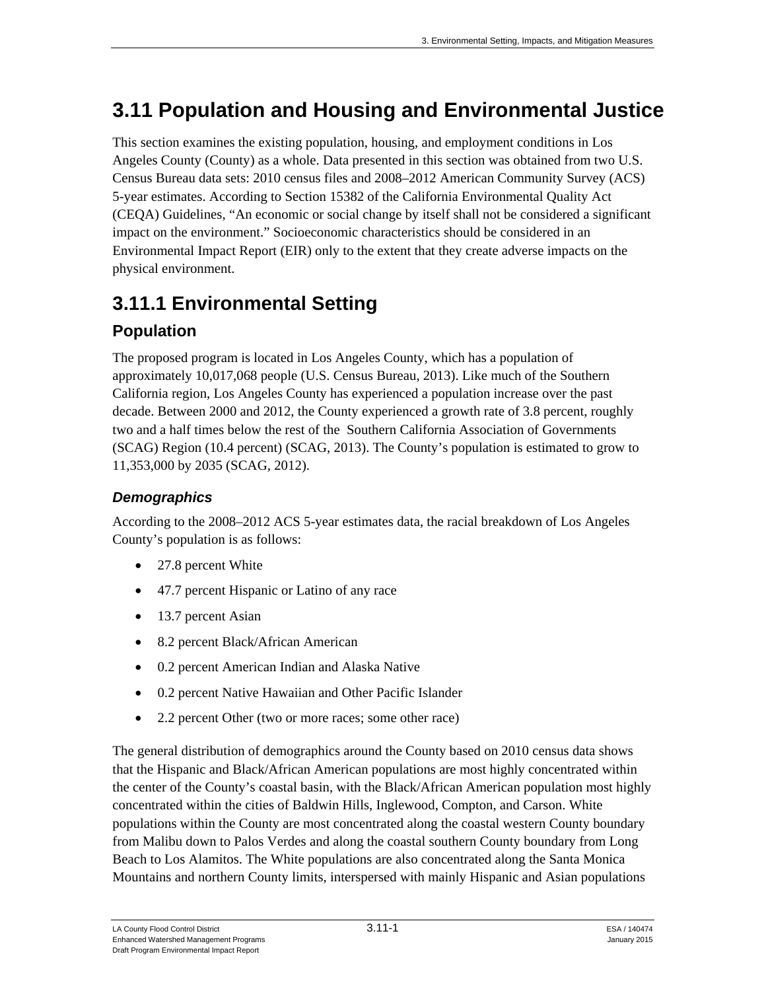# **3.11 Population and Housing and Environmental Justice**

This section examines the existing population, housing, and employment conditions in Los Angeles County (County) as a whole. Data presented in this section was obtained from two U.S. Census Bureau data sets: 2010 census files and 2008–2012 American Community Survey (ACS) 5-year estimates. According to Section 15382 of the California Environmental Quality Act (CEQA) Guidelines, "An economic or social change by itself shall not be considered a significant impact on the environment." Socioeconomic characteristics should be considered in an Environmental Impact Report (EIR) only to the extent that they create adverse impacts on the physical environment.

# **3.11.1 Environmental Setting**

# **Population**

The proposed program is located in Los Angeles County, which has a population of approximately 10,017,068 people (U.S. Census Bureau, 2013). Like much of the Southern California region, Los Angeles County has experienced a population increase over the past decade. Between 2000 and 2012, the County experienced a growth rate of 3.8 percent, roughly two and a half times below the rest of the Southern California Association of Governments (SCAG) Region (10.4 percent) (SCAG, 2013). The County's population is estimated to grow to 11,353,000 by 2035 (SCAG, 2012).

# *Demographics*

According to the 2008–2012 ACS 5-year estimates data, the racial breakdown of Los Angeles County's population is as follows:

- 27.8 percent White
- 47.7 percent Hispanic or Latino of any race
- 13.7 percent Asian
- 8.2 percent Black/African American
- 0.2 percent American Indian and Alaska Native
- 0.2 percent Native Hawaiian and Other Pacific Islander
- 2.2 percent Other (two or more races; some other race)

The general distribution of demographics around the County based on 2010 census data shows that the Hispanic and Black/African American populations are most highly concentrated within the center of the County's coastal basin, with the Black/African American population most highly concentrated within the cities of Baldwin Hills, Inglewood, Compton, and Carson. White populations within the County are most concentrated along the coastal western County boundary from Malibu down to Palos Verdes and along the coastal southern County boundary from Long Beach to Los Alamitos. The White populations are also concentrated along the Santa Monica Mountains and northern County limits, interspersed with mainly Hispanic and Asian populations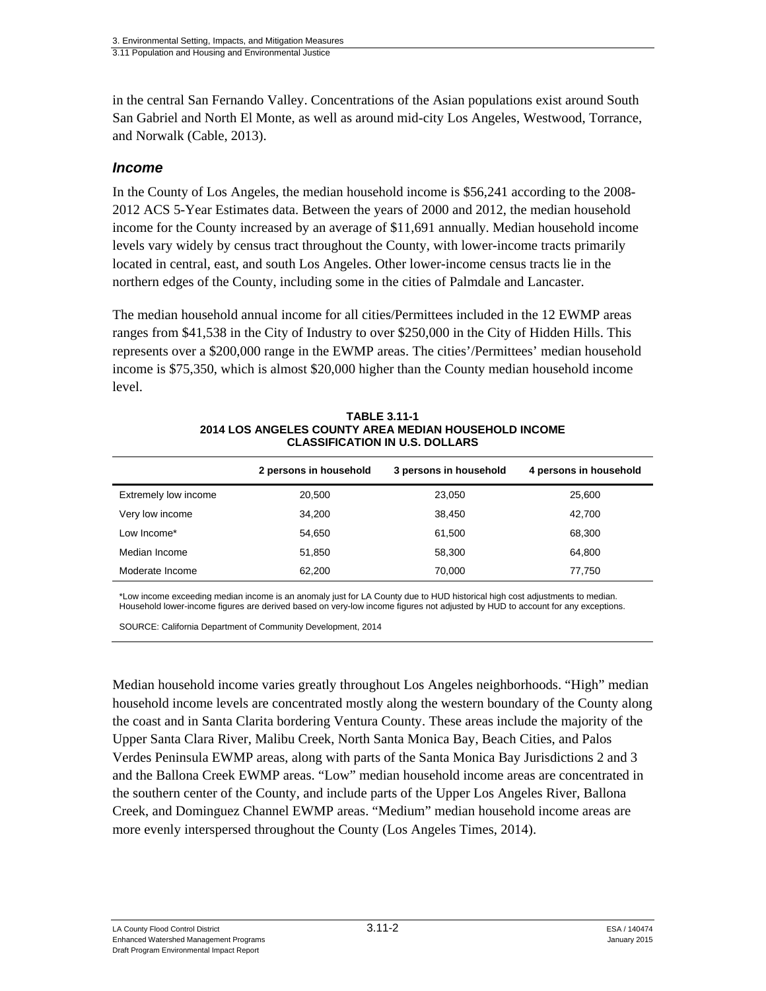in the central San Fernando Valley. Concentrations of the Asian populations exist around South San Gabriel and North El Monte, as well as around mid-city Los Angeles, Westwood, Torrance, and Norwalk (Cable, 2013).

## *Income*

In the County of Los Angeles, the median household income is \$56,241 according to the 2008- 2012 ACS 5-Year Estimates data. Between the years of 2000 and 2012, the median household income for the County increased by an average of \$11,691 annually. Median household income levels vary widely by census tract throughout the County, with lower-income tracts primarily located in central, east, and south Los Angeles. Other lower-income census tracts lie in the northern edges of the County, including some in the cities of Palmdale and Lancaster.

The median household annual income for all cities/Permittees included in the 12 EWMP areas ranges from \$41,538 in the City of Industry to over \$250,000 in the City of Hidden Hills. This represents over a \$200,000 range in the EWMP areas. The cities'/Permittees' median household income is \$75,350, which is almost \$20,000 higher than the County median household income level.

|        | 3 persons in household | 4 persons in household |
|--------|------------------------|------------------------|
| 20,500 | 23.050                 | 25,600                 |
| 34,200 | 38,450                 | 42,700                 |
| 54,650 | 61,500                 | 68,300                 |
| 51,850 | 58.300                 | 64,800                 |
| 62,200 | 70,000                 | 77,750                 |
|        | 2 persons in household |                        |

**TABLE 3.11-1 2014 LOS ANGELES COUNTY AREA MEDIAN HOUSEHOLD INCOME CLASSIFICATION IN U.S. DOLLARS** 

\*Low income exceeding median income is an anomaly just for LA County due to HUD historical high cost adjustments to median. Household lower-income figures are derived based on very-low income figures not adjusted by HUD to account for any exceptions.

SOURCE: California Department of Community Development, 2014

Median household income varies greatly throughout Los Angeles neighborhoods. "High" median household income levels are concentrated mostly along the western boundary of the County along the coast and in Santa Clarita bordering Ventura County. These areas include the majority of the Upper Santa Clara River, Malibu Creek, North Santa Monica Bay, Beach Cities, and Palos Verdes Peninsula EWMP areas, along with parts of the Santa Monica Bay Jurisdictions 2 and 3 and the Ballona Creek EWMP areas. "Low" median household income areas are concentrated in the southern center of the County, and include parts of the Upper Los Angeles River, Ballona Creek, and Dominguez Channel EWMP areas. "Medium" median household income areas are more evenly interspersed throughout the County (Los Angeles Times, 2014).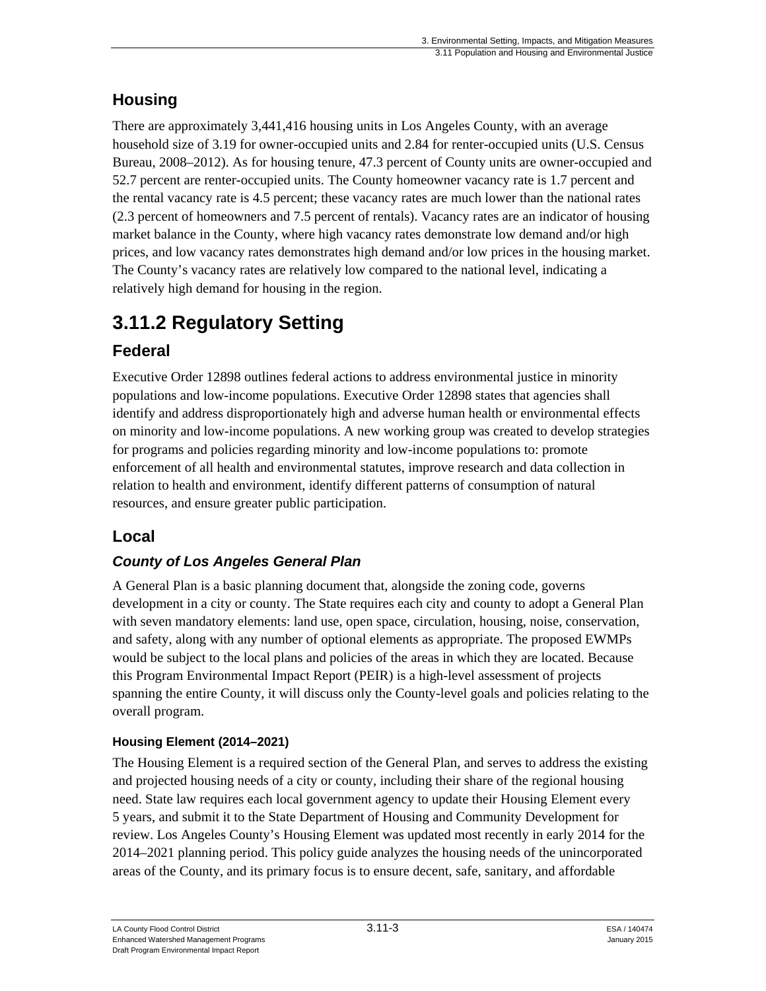# **Housing**

There are approximately 3,441,416 housing units in Los Angeles County, with an average household size of 3.19 for owner-occupied units and 2.84 for renter-occupied units (U.S. Census Bureau, 2008–2012). As for housing tenure, 47.3 percent of County units are owner-occupied and 52.7 percent are renter-occupied units. The County homeowner vacancy rate is 1.7 percent and the rental vacancy rate is 4.5 percent; these vacancy rates are much lower than the national rates (2.3 percent of homeowners and 7.5 percent of rentals). Vacancy rates are an indicator of housing market balance in the County, where high vacancy rates demonstrate low demand and/or high prices, and low vacancy rates demonstrates high demand and/or low prices in the housing market. The County's vacancy rates are relatively low compared to the national level, indicating a relatively high demand for housing in the region.

# **3.11.2 Regulatory Setting**

# **Federal**

Executive Order 12898 outlines federal actions to address environmental justice in minority populations and low-income populations. Executive Order 12898 states that agencies shall identify and address disproportionately high and adverse human health or environmental effects on minority and low-income populations. A new working group was created to develop strategies for programs and policies regarding minority and low-income populations to: promote enforcement of all health and environmental statutes, improve research and data collection in relation to health and environment, identify different patterns of consumption of natural resources, and ensure greater public participation.

# **Local**

# *County of Los Angeles General Plan*

A General Plan is a basic planning document that, alongside the zoning code, governs development in a city or county. The State requires each city and county to adopt a General Plan with seven mandatory elements: land use, open space, circulation, housing, noise, conservation, and safety, along with any number of optional elements as appropriate. The proposed EWMPs would be subject to the local plans and policies of the areas in which they are located. Because this Program Environmental Impact Report (PEIR) is a high-level assessment of projects spanning the entire County, it will discuss only the County-level goals and policies relating to the overall program.

## **Housing Element (2014–2021)**

The Housing Element is a required section of the General Plan, and serves to address the existing and projected housing needs of a city or county, including their share of the regional housing need. State law requires each local government agency to update their Housing Element every 5 years, and submit it to the State Department of Housing and Community Development for review. Los Angeles County's Housing Element was updated most recently in early 2014 for the 2014–2021 planning period. This policy guide analyzes the housing needs of the unincorporated areas of the County, and its primary focus is to ensure decent, safe, sanitary, and affordable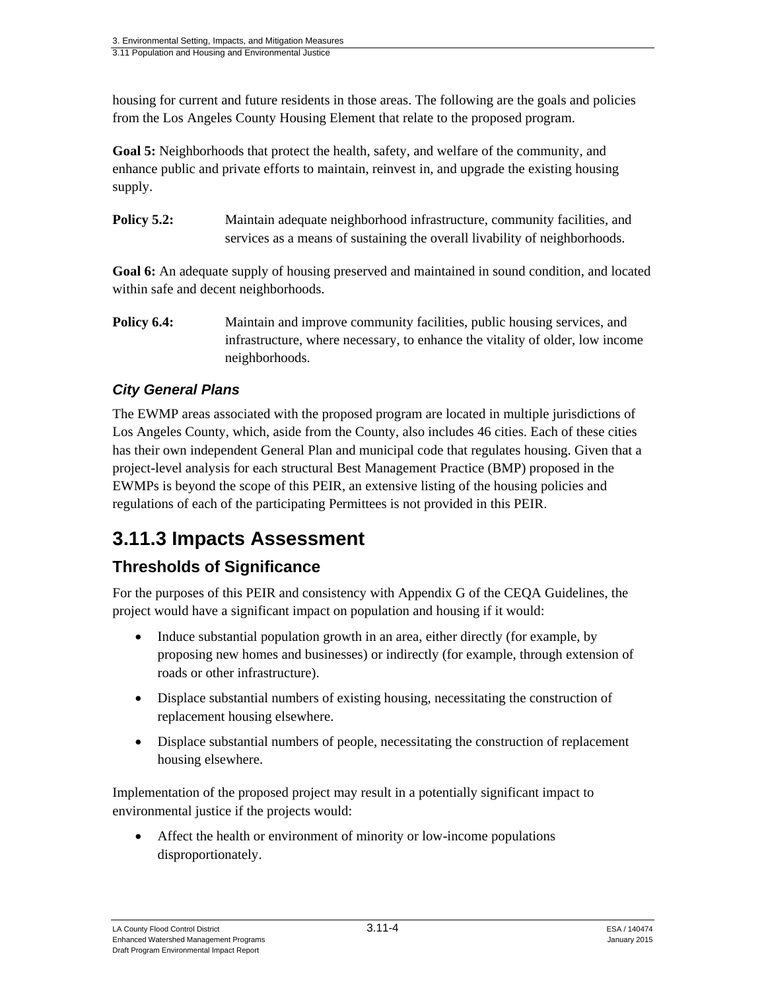housing for current and future residents in those areas. The following are the goals and policies from the Los Angeles County Housing Element that relate to the proposed program.

**Goal 5:** Neighborhoods that protect the health, safety, and welfare of the community, and enhance public and private efforts to maintain, reinvest in, and upgrade the existing housing supply.

**Policy 5.2:** Maintain adequate neighborhood infrastructure, community facilities, and services as a means of sustaining the overall livability of neighborhoods.

**Goal 6:** An adequate supply of housing preserved and maintained in sound condition, and located within safe and decent neighborhoods.

**Policy 6.4:** Maintain and improve community facilities, public housing services, and infrastructure, where necessary, to enhance the vitality of older, low income neighborhoods.

# *City General Plans*

The EWMP areas associated with the proposed program are located in multiple jurisdictions of Los Angeles County, which, aside from the County, also includes 46 cities. Each of these cities has their own independent General Plan and municipal code that regulates housing. Given that a project-level analysis for each structural Best Management Practice (BMP) proposed in the EWMPs is beyond the scope of this PEIR, an extensive listing of the housing policies and regulations of each of the participating Permittees is not provided in this PEIR.

# **3.11.3 Impacts Assessment**

# **Thresholds of Significance**

For the purposes of this PEIR and consistency with Appendix G of the CEQA Guidelines, the project would have a significant impact on population and housing if it would:

- Induce substantial population growth in an area, either directly (for example, by proposing new homes and businesses) or indirectly (for example, through extension of roads or other infrastructure).
- Displace substantial numbers of existing housing, necessitating the construction of replacement housing elsewhere.
- Displace substantial numbers of people, necessitating the construction of replacement housing elsewhere.

Implementation of the proposed project may result in a potentially significant impact to environmental justice if the projects would:

 Affect the health or environment of minority or low-income populations disproportionately.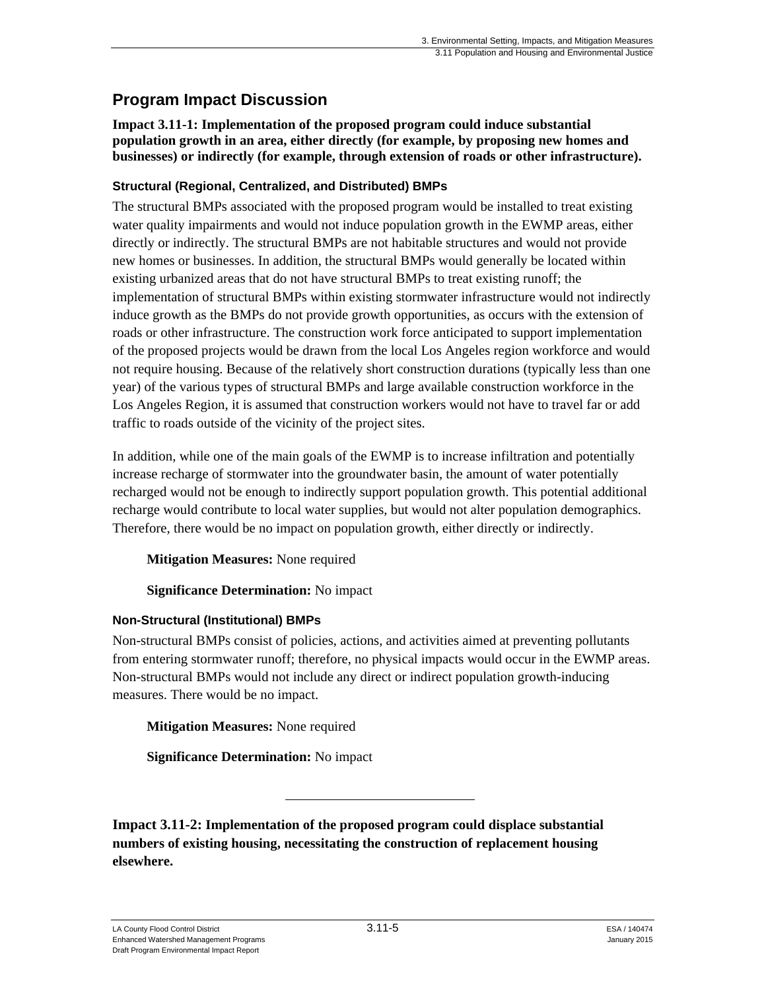# **Program Impact Discussion**

**Impact 3.11-1: Implementation of the proposed program could induce substantial population growth in an area, either directly (for example, by proposing new homes and businesses) or indirectly (for example, through extension of roads or other infrastructure).** 

## **Structural (Regional, Centralized, and Distributed) BMPs**

The structural BMPs associated with the proposed program would be installed to treat existing water quality impairments and would not induce population growth in the EWMP areas, either directly or indirectly. The structural BMPs are not habitable structures and would not provide new homes or businesses. In addition, the structural BMPs would generally be located within existing urbanized areas that do not have structural BMPs to treat existing runoff; the implementation of structural BMPs within existing stormwater infrastructure would not indirectly induce growth as the BMPs do not provide growth opportunities, as occurs with the extension of roads or other infrastructure. The construction work force anticipated to support implementation of the proposed projects would be drawn from the local Los Angeles region workforce and would not require housing. Because of the relatively short construction durations (typically less than one year) of the various types of structural BMPs and large available construction workforce in the Los Angeles Region, it is assumed that construction workers would not have to travel far or add traffic to roads outside of the vicinity of the project sites.

In addition, while one of the main goals of the EWMP is to increase infiltration and potentially increase recharge of stormwater into the groundwater basin, the amount of water potentially recharged would not be enough to indirectly support population growth. This potential additional recharge would contribute to local water supplies, but would not alter population demographics. Therefore, there would be no impact on population growth, either directly or indirectly.

**Mitigation Measures:** None required

## **Significance Determination:** No impact

## **Non-Structural (Institutional) BMPs**

Non-structural BMPs consist of policies, actions, and activities aimed at preventing pollutants from entering stormwater runoff; therefore, no physical impacts would occur in the EWMP areas. Non-structural BMPs would not include any direct or indirect population growth-inducing measures. There would be no impact.

**Mitigation Measures:** None required

**Significance Determination:** No impact

**Impact 3.11-2: Implementation of the proposed program could displace substantial numbers of existing housing, necessitating the construction of replacement housing elsewhere.**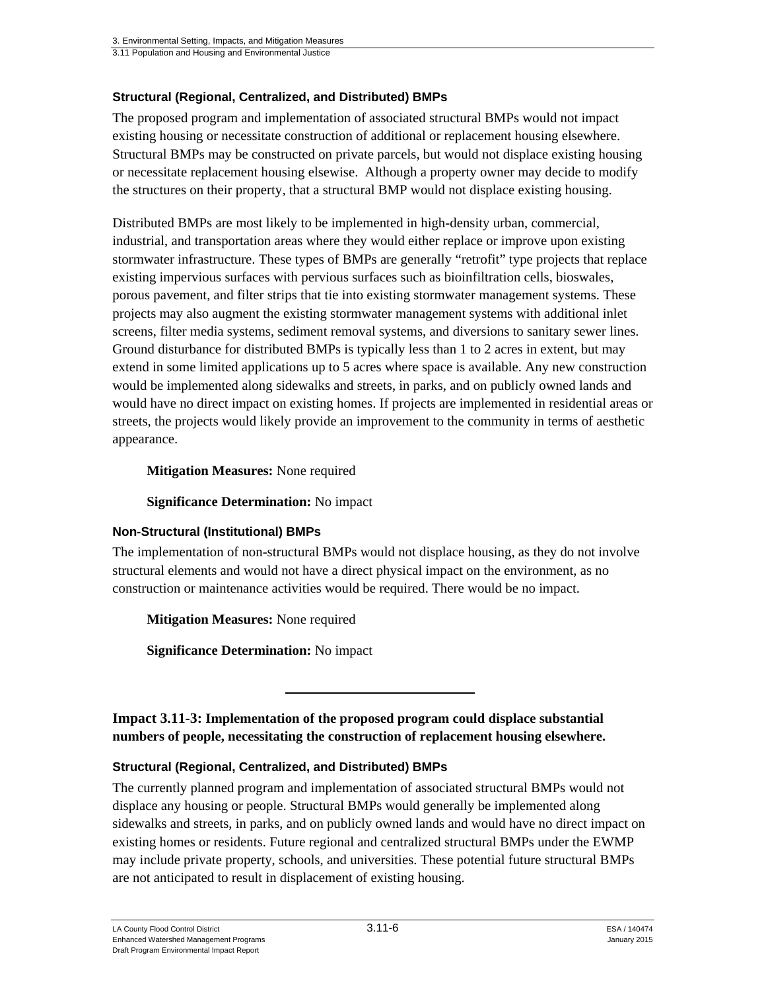3.11 Population and Housing and Environmental Justice

#### **Structural (Regional, Centralized, and Distributed) BMPs**

The proposed program and implementation of associated structural BMPs would not impact existing housing or necessitate construction of additional or replacement housing elsewhere. Structural BMPs may be constructed on private parcels, but would not displace existing housing or necessitate replacement housing elsewise. Although a property owner may decide to modify the structures on their property, that a structural BMP would not displace existing housing.

Distributed BMPs are most likely to be implemented in high-density urban, commercial, industrial, and transportation areas where they would either replace or improve upon existing stormwater infrastructure. These types of BMPs are generally "retrofit" type projects that replace existing impervious surfaces with pervious surfaces such as bioinfiltration cells, bioswales, porous pavement, and filter strips that tie into existing stormwater management systems. These projects may also augment the existing stormwater management systems with additional inlet screens, filter media systems, sediment removal systems, and diversions to sanitary sewer lines. Ground disturbance for distributed BMPs is typically less than 1 to 2 acres in extent, but may extend in some limited applications up to 5 acres where space is available. Any new construction would be implemented along sidewalks and streets, in parks, and on publicly owned lands and would have no direct impact on existing homes. If projects are implemented in residential areas or streets, the projects would likely provide an improvement to the community in terms of aesthetic appearance.

#### **Mitigation Measures:** None required

**Significance Determination:** No impact

#### **Non-Structural (Institutional) BMPs**

The implementation of non-structural BMPs would not displace housing, as they do not involve structural elements and would not have a direct physical impact on the environment, as no construction or maintenance activities would be required. There would be no impact.

**Mitigation Measures:** None required

**Significance Determination:** No impact

**Impact 3.11-3: Implementation of the proposed program could displace substantial numbers of people, necessitating the construction of replacement housing elsewhere.** 

#### **Structural (Regional, Centralized, and Distributed) BMPs**

The currently planned program and implementation of associated structural BMPs would not displace any housing or people. Structural BMPs would generally be implemented along sidewalks and streets, in parks, and on publicly owned lands and would have no direct impact on existing homes or residents. Future regional and centralized structural BMPs under the EWMP may include private property, schools, and universities. These potential future structural BMPs are not anticipated to result in displacement of existing housing.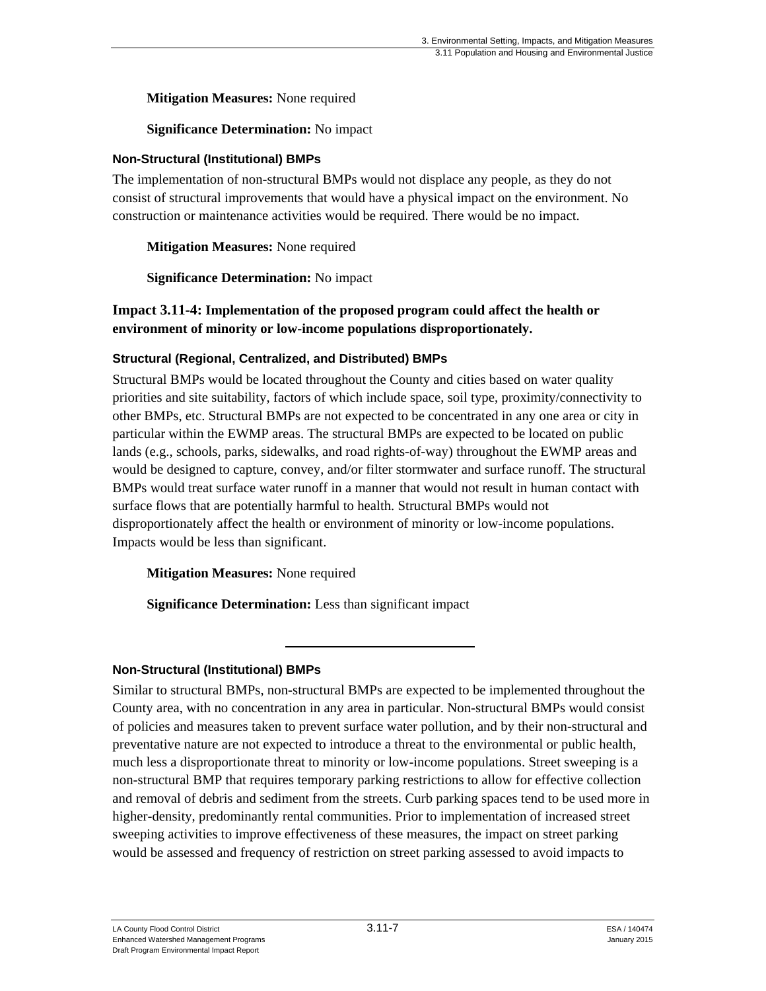**Mitigation Measures:** None required

**Significance Determination:** No impact

### **Non-Structural (Institutional) BMPs**

The implementation of non-structural BMPs would not displace any people, as they do not consist of structural improvements that would have a physical impact on the environment. No construction or maintenance activities would be required. There would be no impact.

**Mitigation Measures:** None required

**Significance Determination:** No impact

### **Impact 3.11-4: Implementation of the proposed program could affect the health or environment of minority or low-income populations disproportionately.**

### **Structural (Regional, Centralized, and Distributed) BMPs**

Structural BMPs would be located throughout the County and cities based on water quality priorities and site suitability, factors of which include space, soil type, proximity/connectivity to other BMPs, etc. Structural BMPs are not expected to be concentrated in any one area or city in particular within the EWMP areas. The structural BMPs are expected to be located on public lands (e.g., schools, parks, sidewalks, and road rights-of-way) throughout the EWMP areas and would be designed to capture, convey, and/or filter stormwater and surface runoff. The structural BMPs would treat surface water runoff in a manner that would not result in human contact with surface flows that are potentially harmful to health. Structural BMPs would not disproportionately affect the health or environment of minority or low-income populations. Impacts would be less than significant.

**Mitigation Measures:** None required

**Significance Determination:** Less than significant impact

#### **Non-Structural (Institutional) BMPs**

Similar to structural BMPs, non-structural BMPs are expected to be implemented throughout the County area, with no concentration in any area in particular. Non-structural BMPs would consist of policies and measures taken to prevent surface water pollution, and by their non-structural and preventative nature are not expected to introduce a threat to the environmental or public health, much less a disproportionate threat to minority or low-income populations. Street sweeping is a non-structural BMP that requires temporary parking restrictions to allow for effective collection and removal of debris and sediment from the streets. Curb parking spaces tend to be used more in higher-density, predominantly rental communities. Prior to implementation of increased street sweeping activities to improve effectiveness of these measures, the impact on street parking would be assessed and frequency of restriction on street parking assessed to avoid impacts to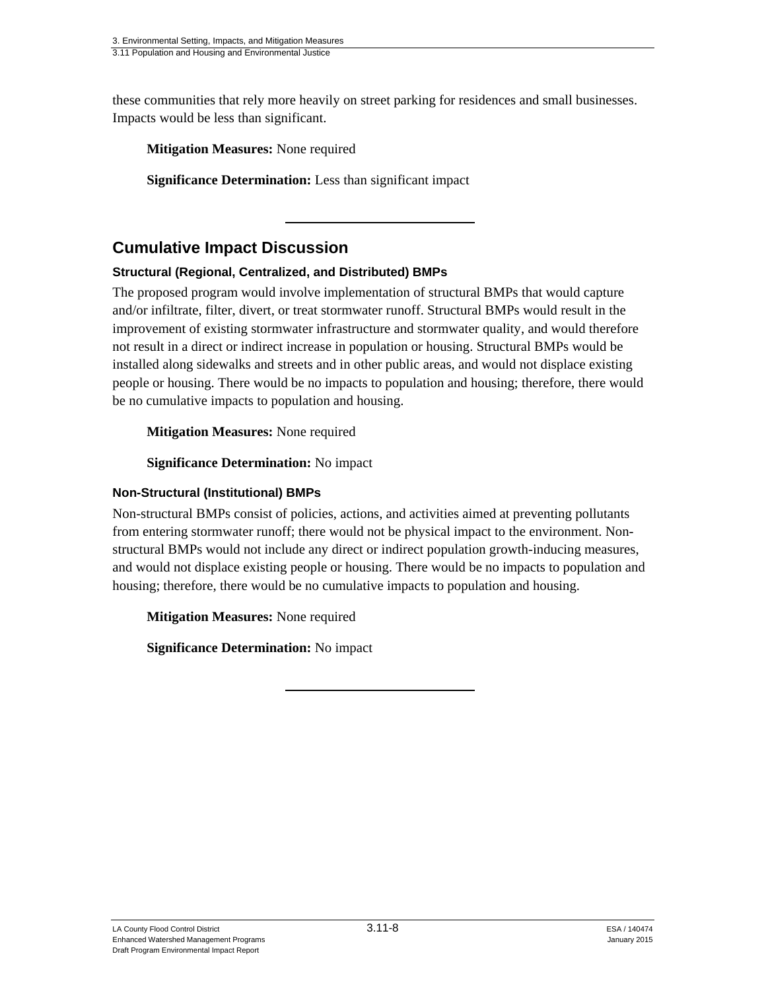these communities that rely more heavily on street parking for residences and small businesses. Impacts would be less than significant.

**Mitigation Measures:** None required

**Significance Determination:** Less than significant impact

# **Cumulative Impact Discussion**

## **Structural (Regional, Centralized, and Distributed) BMPs**

The proposed program would involve implementation of structural BMPs that would capture and/or infiltrate, filter, divert, or treat stormwater runoff. Structural BMPs would result in the improvement of existing stormwater infrastructure and stormwater quality, and would therefore not result in a direct or indirect increase in population or housing. Structural BMPs would be installed along sidewalks and streets and in other public areas, and would not displace existing people or housing. There would be no impacts to population and housing; therefore, there would be no cumulative impacts to population and housing.

**Mitigation Measures:** None required

**Significance Determination:** No impact

### **Non-Structural (Institutional) BMPs**

Non-structural BMPs consist of policies, actions, and activities aimed at preventing pollutants from entering stormwater runoff; there would not be physical impact to the environment. Nonstructural BMPs would not include any direct or indirect population growth-inducing measures, and would not displace existing people or housing. There would be no impacts to population and housing; therefore, there would be no cumulative impacts to population and housing.

**Mitigation Measures:** None required

**Significance Determination:** No impact